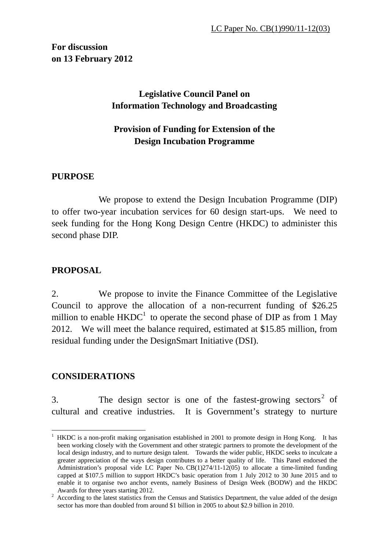**For discussion on 13 February 2012** 

# **Legislative Council Panel on Information Technology and Broadcasting**

# **Provision of Funding for Extension of the Design Incubation Programme**

## **PURPOSE**

 We propose to extend the Design Incubation Programme (DIP) to offer two-year incubation services for 60 design start-ups. We need to seek funding for the Hong Kong Design Centre (HKDC) to administer this second phase DIP.

#### **PROPOSAL**

2. We propose to invite the Finance Committee of the Legislative Council to approve the allocation of a non-recurrent funding of \$26.25 million to enable  $HKDC<sup>1</sup>$  to operate the second phase of DIP as from 1 May 2012. We will meet the balance required, estimated at \$15.85 million, from residual funding under the DesignSmart Initiative (DSI).

## **CONSIDERATIONS**

<u>.</u>

3. The design sector is one of the fastest-growing sectors<sup>2</sup> of cultural and creative industries. It is Government's strategy to nurture

<sup>&</sup>lt;sup>1</sup> HKDC is a non-profit making organisation established in 2001 to promote design in Hong Kong. It has been working closely with the Government and other strategic partners to promote the development of the local design industry, and to nurture design talent. Towards the wider public, HKDC seeks to inculcate a greater appreciation of the ways design contributes to a better quality of life. This Panel endorsed the Administration's proposal vide LC Paper No. CB(1)274/11-12(05) to allocate a time-limited funding capped at \$107.5 million to support HKDC's basic operation from 1 July 2012 to 30 June 2015 and to enable it to organise two anchor events, namely Business of Design Week (BODW) and the HKDC

Awards for three years starting 2012.<br><sup>2</sup> According to the latest statistics from the Census and Statistics Department, the value added of the design sector has more than doubled from around \$1 billion in 2005 to about \$2.9 billion in 2010.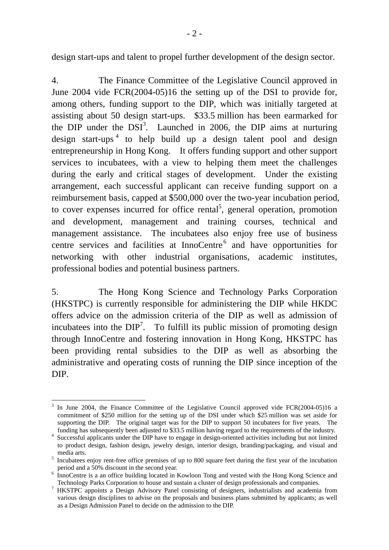design start-ups and talent to propel further development of the design sector.

4. The Finance Committee of the Legislative Council approved in June 2004 vide FCR(2004-05)16 the setting up of the DSI to provide for, among others, funding support to the DIP, which was initially targeted at assisting about 50 design start-ups. \$33.5 million has been earmarked for the DIP under the  $DSI<sup>3</sup>$ . Launched in 2006, the DIP aims at nurturing design start-ups<sup>4</sup> to help build up a design talent pool and design entrepreneurship in Hong Kong. It offers funding support and other support services to incubatees, with a view to helping them meet the challenges during the early and critical stages of development. Under the existing arrangement, each successful applicant can receive funding support on a reimbursement basis, capped at \$500,000 over the two-year incubation period, to cover expenses incurred for office rental<sup>5</sup>, general operation, promotion and development, management and training courses, technical and management assistance. The incubatees also enjoy free use of business centre services and facilities at InnoCentre<sup>6</sup> and have opportunities for networking with other industrial organisations, academic institutes, professional bodies and potential business partners.

5. The Hong Kong Science and Technology Parks Corporation (HKSTPC) is currently responsible for administering the DIP while HKDC offers advice on the admission criteria of the DIP as well as admission of incubatees into the  $DIP<sup>7</sup>$ . To fulfill its public mission of promoting design through InnoCentre and fostering innovation in Hong Kong, HKSTPC has been providing rental subsidies to the DIP as well as absorbing the administrative and operating costs of running the DIP since inception of the DIP.

<sup>1</sup> 3 In June 2004, the Finance Committee of the Legislative Council approved vide FCR(2004-05)16 a commitment of \$250 million for the setting up of the DSI under which \$25 million was set aside for supporting the DIP. The original target was for the DIP to support 50 incubatees for five years. The funding has subsequently been adjusted to \$33.5 million having regard to the requirements of the industry.

funding has subsequently been adjusted to \$33.5 million having regard to the requirements of the industry.<br><sup>4</sup> Successful applicants under the DIP have to engage in design-oriented activities including but not limited to product design, fashion design, jewelry design, interior design, branding/packaging, and visual and

media arts.<br><sup>5</sup> Incubatees enjoy rent-free office premises of up to 800 square feet during the first year of the incubation

period and a 50% discount in the second year.<br><sup>6</sup> InnoCentre is a an office building located in Kowloon Tong and vested with the Hong Kong Science and Technology Parks Corporation to house and sustain a cluster of design professionals and companies.

HKSTPC appoints a Design Advisory Panel consisting of designers, industrialists and academia from various design disciplines to advise on the proposals and business plans submitted by applicants; as well as a Design Admission Panel to decide on the admission to the DIP.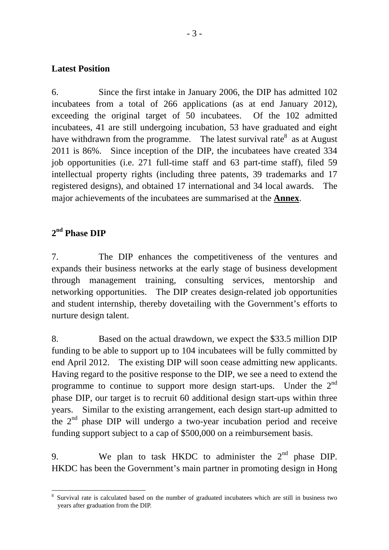#### **Latest Position**

6. Since the first intake in January 2006, the DIP has admitted 102 incubatees from a total of 266 applications (as at end January 2012), exceeding the original target of 50 incubatees. Of the 102 admitted incubatees, 41 are still undergoing incubation, 53 have graduated and eight have withdrawn from the programme. The latest survival rate<sup>8</sup> as at August 2011 is 86%. Since inception of the DIP, the incubatees have created 334 job opportunities (i.e. 271 full-time staff and 63 part-time staff), filed 59 intellectual property rights (including three patents, 39 trademarks and 17 registered designs), and obtained 17 international and 34 local awards. The major achievements of the incubatees are summarised at the **Annex**.

# **2nd Phase DIP**

7. The DIP enhances the competitiveness of the ventures and expands their business networks at the early stage of business development through management training, consulting services, mentorship and networking opportunities. The DIP creates design-related job opportunities and student internship, thereby dovetailing with the Government's efforts to nurture design talent.

8. Based on the actual drawdown, we expect the \$33.5 million DIP funding to be able to support up to 104 incubatees will be fully committed by end April 2012. The existing DIP will soon cease admitting new applicants. Having regard to the positive response to the DIP, we see a need to extend the programme to continue to support more design start-ups. Under the  $2<sup>nd</sup>$ phase DIP, our target is to recruit 60 additional design start-ups within three years. Similar to the existing arrangement, each design start-up admitted to the  $2<sup>nd</sup>$  phase DIP will undergo a two-year incubation period and receive funding support subject to a cap of \$500,000 on a reimbursement basis.

9. We plan to task HKDC to administer the  $2<sup>nd</sup>$  phase DIP. HKDC has been the Government's main partner in promoting design in Hong

<sup>1</sup> 8 Survival rate is calculated based on the number of graduated incubatees which are still in business two years after graduation from the DIP.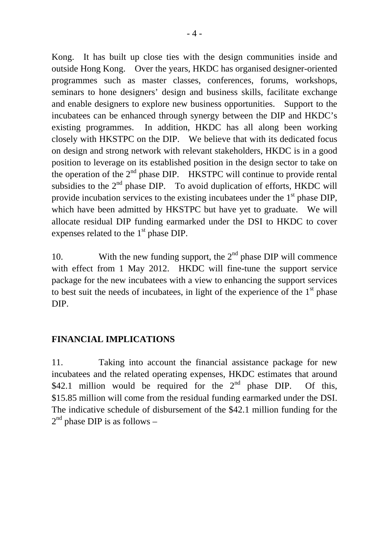Kong. It has built up close ties with the design communities inside and outside Hong Kong. Over the years, HKDC has organised designer-oriented programmes such as master classes, conferences, forums, workshops, seminars to hone designers' design and business skills, facilitate exchange and enable designers to explore new business opportunities. Support to the incubatees can be enhanced through synergy between the DIP and HKDC's existing programmes. In addition, HKDC has all along been working closely with HKSTPC on the DIP. We believe that with its dedicated focus on design and strong network with relevant stakeholders, HKDC is in a good position to leverage on its established position in the design sector to take on the operation of the  $2<sup>nd</sup>$  phase DIP. HKSTPC will continue to provide rental subsidies to the  $2<sup>nd</sup>$  phase DIP. To avoid duplication of efforts, HKDC will provide incubation services to the existing incubatees under the  $1<sup>st</sup>$  phase DIP, which have been admitted by HKSTPC but have yet to graduate. We will allocate residual DIP funding earmarked under the DSI to HKDC to cover expenses related to the  $1<sup>st</sup>$  phase DIP.

10. With the new funding support, the  $2<sup>nd</sup>$  phase DIP will commence with effect from 1 May 2012. HKDC will fine-tune the support service package for the new incubatees with a view to enhancing the support services to best suit the needs of incubatees, in light of the experience of the  $1<sup>st</sup>$  phase DIP.

#### **FINANCIAL IMPLICATIONS**

11. Taking into account the financial assistance package for new incubatees and the related operating expenses, HKDC estimates that around \$42.1 million would be required for the  $2<sup>nd</sup>$  phase DIP. Of this, \$15.85 million will come from the residual funding earmarked under the DSI. The indicative schedule of disbursement of the \$42.1 million funding for the  $2<sup>nd</sup>$  phase DIP is as follows –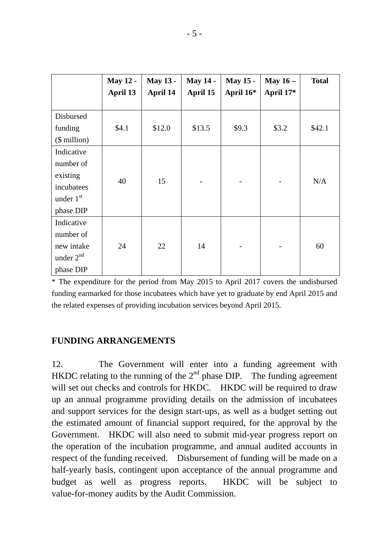|                                                                                    | <b>May 12 -</b><br>April 13 | <b>May 13 -</b><br>April 14 | <b>May 14 -</b><br>April 15 | <b>May 15 -</b><br>April 16* | May $16-$<br>April 17* | <b>Total</b> |
|------------------------------------------------------------------------------------|-----------------------------|-----------------------------|-----------------------------|------------------------------|------------------------|--------------|
| Disbursed<br>funding                                                               | \$4.1                       | \$12.0                      | \$13.5                      | \$9.3                        | \$3.2                  | \$42.1       |
| $($$ million $)$<br>Indicative<br>number of<br>existing<br>incubatees<br>under 1st | 40                          | 15                          |                             |                              |                        | N/A          |
| phase DIP<br>Indicative<br>number of<br>new intake<br>under $2^{nd}$<br>phase DIP  | 24                          | 22                          | 14                          |                              |                        | 60           |

\* The expenditure for the period from May 2015 to April 2017 covers the undisbursed funding earmarked for those incubatees which have yet to graduate by end April 2015 and the related expenses of providing incubation services beyond April 2015.

#### **FUNDING ARRANGEMENTS**

12. The Government will enter into a funding agreement with HKDC relating to the running of the  $2<sup>nd</sup>$  phase DIP. The funding agreement will set out checks and controls for HKDC. HKDC will be required to draw up an annual programme providing details on the admission of incubatees and support services for the design start-ups, as well as a budget setting out the estimated amount of financial support required, for the approval by the Government. HKDC will also need to submit mid-year progress report on the operation of the incubation programme, and annual audited accounts in respect of the funding received. Disbursement of funding will be made on a half-yearly basis, contingent upon acceptance of the annual programme and budget as well as progress reports. HKDC will be subject to value-for-money audits by the Audit Commission.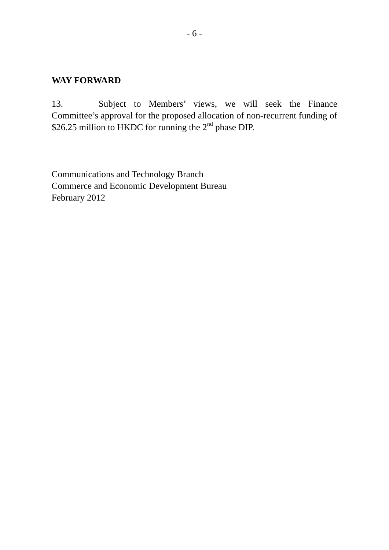#### **WAY FORWARD**

13. Subject to Members' views, we will seek the Finance Committee's approval for the proposed allocation of non-recurrent funding of \$26.25 million to HKDC for running the 2<sup>nd</sup> phase DIP.

Communications and Technology Branch Commerce and Economic Development Bureau February 2012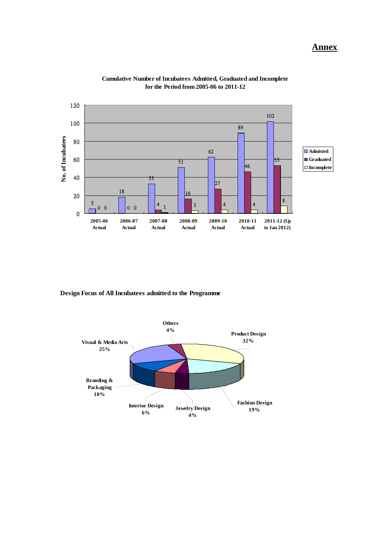

**Cumulative Number of Incubatees Admitted, Graduated and Incomplete for the Period from 2005-06 to 2011-12**

**Design Focus of All Incubatees admitted to the Programme**